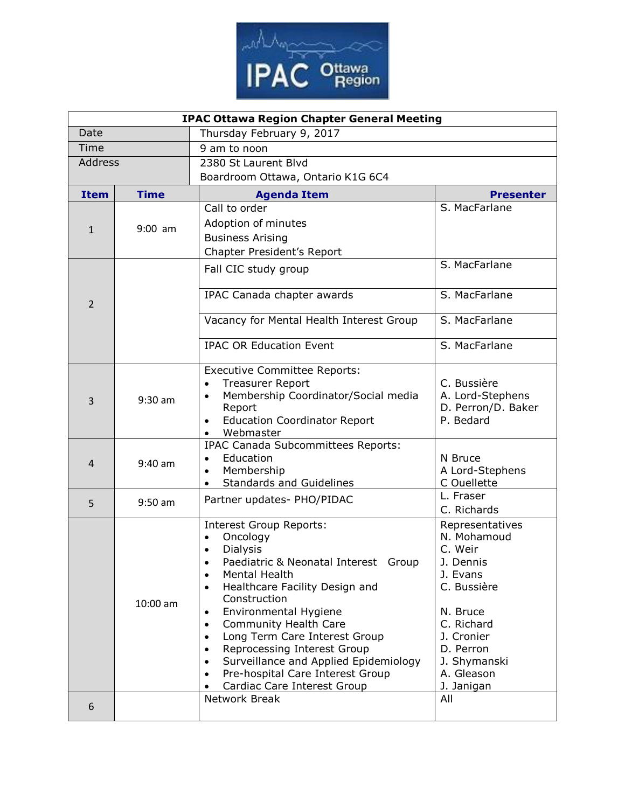

| <b>IPAC Ottawa Region Chapter General Meeting</b> |             |                                                                                                                                                                                                                                                                                                                                                                                                                                                                                                                |                                                                                                                                                                                    |  |  |
|---------------------------------------------------|-------------|----------------------------------------------------------------------------------------------------------------------------------------------------------------------------------------------------------------------------------------------------------------------------------------------------------------------------------------------------------------------------------------------------------------------------------------------------------------------------------------------------------------|------------------------------------------------------------------------------------------------------------------------------------------------------------------------------------|--|--|
| Date                                              |             | Thursday February 9, 2017                                                                                                                                                                                                                                                                                                                                                                                                                                                                                      |                                                                                                                                                                                    |  |  |
| Time                                              |             | 9 am to noon                                                                                                                                                                                                                                                                                                                                                                                                                                                                                                   |                                                                                                                                                                                    |  |  |
| <b>Address</b>                                    |             | 2380 St Laurent Blvd                                                                                                                                                                                                                                                                                                                                                                                                                                                                                           |                                                                                                                                                                                    |  |  |
|                                                   |             | Boardroom Ottawa, Ontario K1G 6C4                                                                                                                                                                                                                                                                                                                                                                                                                                                                              |                                                                                                                                                                                    |  |  |
| <b>Item</b>                                       | <b>Time</b> | <b>Agenda Item</b>                                                                                                                                                                                                                                                                                                                                                                                                                                                                                             | <b>Presenter</b>                                                                                                                                                                   |  |  |
| $\mathbf{1}$                                      | $9:00$ am   | Call to order                                                                                                                                                                                                                                                                                                                                                                                                                                                                                                  | S. MacFarlane                                                                                                                                                                      |  |  |
|                                                   |             | Adoption of minutes                                                                                                                                                                                                                                                                                                                                                                                                                                                                                            |                                                                                                                                                                                    |  |  |
|                                                   |             | <b>Business Arising</b>                                                                                                                                                                                                                                                                                                                                                                                                                                                                                        |                                                                                                                                                                                    |  |  |
|                                                   |             | Chapter President's Report                                                                                                                                                                                                                                                                                                                                                                                                                                                                                     |                                                                                                                                                                                    |  |  |
| 2                                                 |             | Fall CIC study group                                                                                                                                                                                                                                                                                                                                                                                                                                                                                           | S. MacFarlane                                                                                                                                                                      |  |  |
|                                                   |             | IPAC Canada chapter awards                                                                                                                                                                                                                                                                                                                                                                                                                                                                                     | S. MacFarlane                                                                                                                                                                      |  |  |
|                                                   |             | Vacancy for Mental Health Interest Group                                                                                                                                                                                                                                                                                                                                                                                                                                                                       | S. MacFarlane                                                                                                                                                                      |  |  |
|                                                   |             | <b>IPAC OR Education Event</b>                                                                                                                                                                                                                                                                                                                                                                                                                                                                                 | S. MacFarlane                                                                                                                                                                      |  |  |
| 3                                                 | $9:30$ am   | <b>Executive Committee Reports:</b><br><b>Treasurer Report</b><br>$\bullet$<br>Membership Coordinator/Social media<br>$\bullet$<br>Report<br><b>Education Coordinator Report</b><br>$\bullet$<br>Webmaster<br>$\bullet$                                                                                                                                                                                                                                                                                        | C. Bussière<br>A. Lord-Stephens<br>D. Perron/D. Baker<br>P. Bedard                                                                                                                 |  |  |
| 4                                                 | $9:40$ am   | IPAC Canada Subcommittees Reports:<br>Education<br>$\bullet$<br>Membership<br>$\bullet$<br><b>Standards and Guidelines</b><br>$\bullet$                                                                                                                                                                                                                                                                                                                                                                        | N Bruce<br>A Lord-Stephens<br>C Ouellette                                                                                                                                          |  |  |
| 5                                                 | $9:50$ am   | Partner updates- PHO/PIDAC                                                                                                                                                                                                                                                                                                                                                                                                                                                                                     | L. Fraser<br>C. Richards                                                                                                                                                           |  |  |
|                                                   | $10:00$ am  | <b>Interest Group Reports:</b><br>Oncology<br>$\bullet$<br><b>Dialysis</b><br>$\bullet$<br>Paediatric & Neonatal Interest Group<br>$\bullet$<br>Mental Health<br>Healthcare Facility Design and<br>$\bullet$<br>Construction<br>Environmental Hygiene<br>Community Health Care<br>$\bullet$<br>Long Term Care Interest Group<br>$\bullet$<br>Reprocessing Interest Group<br>$\bullet$<br>Surveillance and Applied Epidemiology<br>$\bullet$<br>Pre-hospital Care Interest Group<br>Cardiac Care Interest Group | Representatives<br>N. Mohamoud<br>C. Weir<br>J. Dennis<br>J. Evans<br>C. Bussière<br>N. Bruce<br>C. Richard<br>J. Cronier<br>D. Perron<br>J. Shymanski<br>A. Gleason<br>J. Janigan |  |  |
| 6                                                 |             | Network Break                                                                                                                                                                                                                                                                                                                                                                                                                                                                                                  | All                                                                                                                                                                                |  |  |
|                                                   |             |                                                                                                                                                                                                                                                                                                                                                                                                                                                                                                                |                                                                                                                                                                                    |  |  |